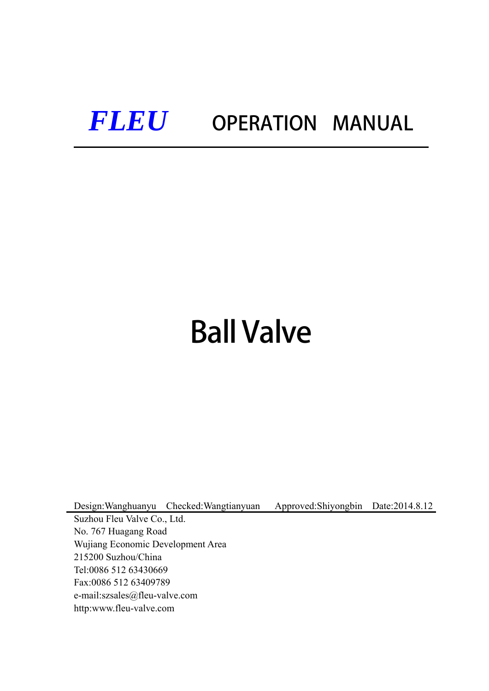## *FLEU* OPERATION MANUAL

# Ball Valve

Design:Wanghuanyu Checked:Wangtianyuan Approved:Shiyongbin Date:2014.8.12

Suzhou Fleu Valve Co., Ltd. No. 767 Huagang Road Wujiang Economic Development Area 215200 Suzhou/China Tel:0086 512 63430669 Fax:0086 512 63409789 e-mail:szsales@fleu-valve.com http:www.fleu-valve.com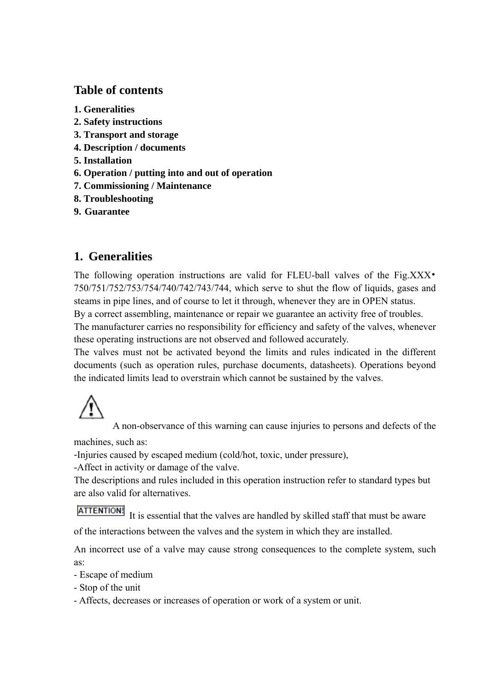## **Table of contents**

- **1. Generalities**
- **2. Safety instructions**
- **3. Transport and storage**
- **4. Description / documents**
- **5. Installation**
- **6. Operation / putting into and out of operation**
- **7. Commissioning / Maintenance**
- **8. Troubleshooting**
- **9. Guarantee**

## **1. Generalities**

The following operation instructions are valid for FLEU-ball valves of the Fig.XXX 750/751/752/753/754/740/742/743/744, which serve to shut the flow of liquids, gases and steams in pipe lines, and of course to let it through, whenever they are in OPEN status.

By a correct assembling, maintenance or repair we guarantee an activity free of troubles. The manufacturer carries no responsibility for efficiency and safety of the valves, whenever these operating instructions are not observed and followed accurately.

The valves must not be activated beyond the limits and rules indicated in the different documents (such as operation rules, purchase documents, datasheets). Operations beyond the indicated limits lead to overstrain which cannot be sustained by the valves.

A non-observance of this warning can cause injuries to persons and defects of the machines, such as:

-Injuries caused by escaped medium (cold/hot, toxic, under pressure),

-Affect in activity or damage of the valve.

The descriptions and rules included in this operation instruction refer to standard types but are also valid for alternatives.

**ATTENTION!** It is essential that the valves are handled by skilled staff that must be aware of the interactions between the valves and the system in which they are installed.

An incorrect use of a valve may cause strong consequences to the complete system, such as:

- Escape of medium
- Stop of the unit
- Affects, decreases or increases of operation or work of a system or unit.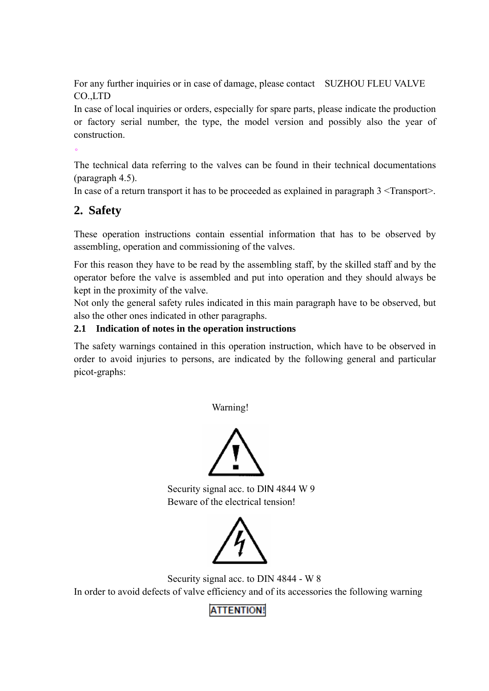For any further inquiries or in case of damage, please contact SUZHOU FLEU VALVE CO.,LTD

In case of local inquiries or orders, especially for spare parts, please indicate the production or factory serial number, the type, the model version and possibly also the year of construction.

The technical data referring to the valves can be found in their technical documentations (paragraph 4.5).

In case of a return transport it has to be proceeded as explained in paragraph  $3 \leq$ Transport $>$ .

## **2. Safety**

 $\bullet$ 

These operation instructions contain essential information that has to be observed by assembling, operation and commissioning of the valves.

For this reason they have to be read by the assembling staff, by the skilled staff and by the operator before the valve is assembled and put into operation and they should always be kept in the proximity of the valve.

Not only the general safety rules indicated in this main paragraph have to be observed, but also the other ones indicated in other paragraphs.

#### **2.1 Indication of notes in the operation instructions**

The safety warnings contained in this operation instruction, which have to be observed in order to avoid injuries to persons, are indicated by the following general and particular picot-graphs:

Warning!



Security signal acc. to DIN 4844 W 9 Beware of the electrical tension!



 Security signal acc. to DIN 4844 - W 8 In order to avoid defects of valve efficiency and of its accessories the following warning

## **ATTENTION!**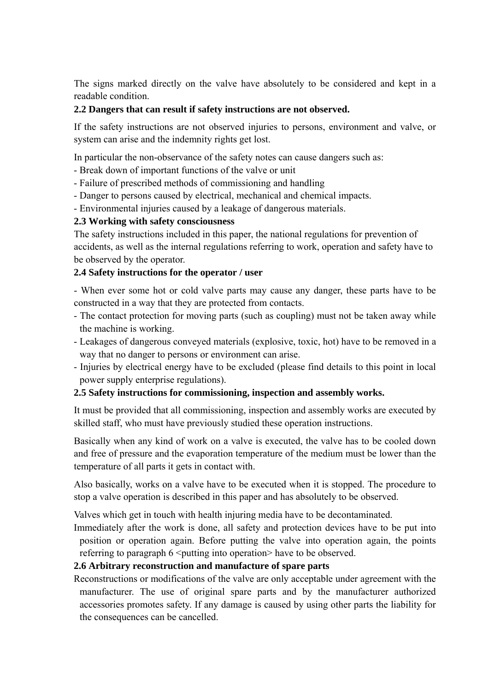The signs marked directly on the valve have absolutely to be considered and kept in a readable condition.

#### **2.2 Dangers that can result if safety instructions are not observed.**

If the safety instructions are not observed injuries to persons, environment and valve, or system can arise and the indemnity rights get lost.

In particular the non-observance of the safety notes can cause dangers such as:

- Break down of important functions of the valve or unit
- Failure of prescribed methods of commissioning and handling
- Danger to persons caused by electrical, mechanical and chemical impacts.
- Environmental injuries caused by a leakage of dangerous materials.

#### **2.3 Working with safety consciousness**

The safety instructions included in this paper, the national regulations for prevention of accidents, as well as the internal regulations referring to work, operation and safety have to be observed by the operator.

#### **2.4 Safety instructions for the operator / user**

- When ever some hot or cold valve parts may cause any danger, these parts have to be constructed in a way that they are protected from contacts.

- The contact protection for moving parts (such as coupling) must not be taken away while the machine is working.
- Leakages of dangerous conveyed materials (explosive, toxic, hot) have to be removed in a way that no danger to persons or environment can arise.
- Injuries by electrical energy have to be excluded (please find details to this point in local power supply enterprise regulations).

#### **2.5 Safety instructions for commissioning, inspection and assembly works.**

It must be provided that all commissioning, inspection and assembly works are executed by skilled staff, who must have previously studied these operation instructions.

Basically when any kind of work on a valve is executed, the valve has to be cooled down and free of pressure and the evaporation temperature of the medium must be lower than the temperature of all parts it gets in contact with.

Also basically, works on a valve have to be executed when it is stopped. The procedure to stop a valve operation is described in this paper and has absolutely to be observed.

Valves which get in touch with health injuring media have to be decontaminated.

Immediately after the work is done, all safety and protection devices have to be put into position or operation again. Before putting the valve into operation again, the points referring to paragraph 6  $\leq$  putting into operation $\geq$  have to be observed.

#### **2.6 Arbitrary reconstruction and manufacture of spare parts**

Reconstructions or modifications of the valve are only acceptable under agreement with the manufacturer. The use of original spare parts and by the manufacturer authorized accessories promotes safety. If any damage is caused by using other parts the liability for the consequences can be cancelled.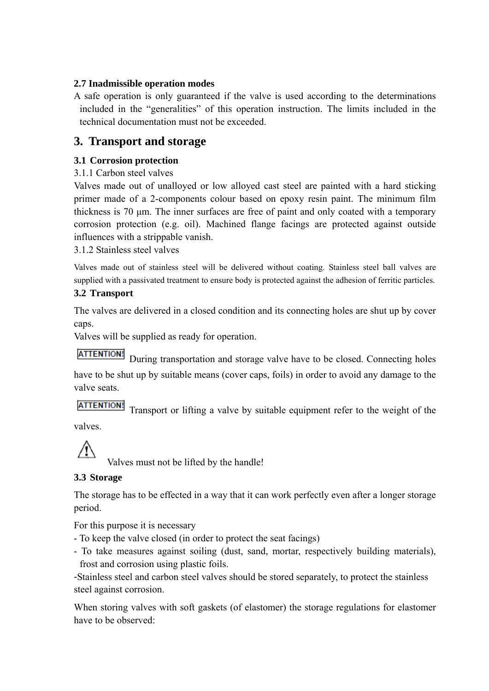#### **2.7 Inadmissible operation modes**

A safe operation is only guaranteed if the valve is used according to the determinations included in the "generalities" of this operation instruction. The limits included in the technical documentation must not be exceeded.

### **3. Transport and storage**

#### **3.1 Corrosion protection**

3.1.1 Carbon steel valves

Valves made out of unalloyed or low alloyed cast steel are painted with a hard sticking primer made of a 2-components colour based on epoxy resin paint. The minimum film thickness is 70 μm. The inner surfaces are free of paint and only coated with a temporary corrosion protection (e.g. oil). Machined flange facings are protected against outside influences with a strippable vanish.

3.1.2 Stainless steel valves

Valves made out of stainless steel will be delivered without coating. Stainless steel ball valves are supplied with a passivated treatment to ensure body is protected against the adhesion of ferritic particles.

#### **3.2 Transport**

The valves are delivered in a closed condition and its connecting holes are shut up by cover caps.

Valves will be supplied as ready for operation.

**ATTENTION!** During transportation and storage valve have to be closed. Connecting holes

have to be shut up by suitable means (cover caps, foils) in order to avoid any damage to the valve seats.

ATTENTION! Transport or lifting a valve by suitable equipment refer to the weight of the

valves.

Valves must not be lifted by the handle!

#### **3.3 Storage**

The storage has to be effected in a way that it can work perfectly even after a longer storage period.

For this purpose it is necessary

- To keep the valve closed (in order to protect the seat facings)
- To take measures against soiling (dust, sand, mortar, respectively building materials), frost and corrosion using plastic foils.

-Stainless steel and carbon steel valves should be stored separately, to protect the stainless steel against corrosion.

When storing valves with soft gaskets (of elastomer) the storage regulations for elastomer have to be observed: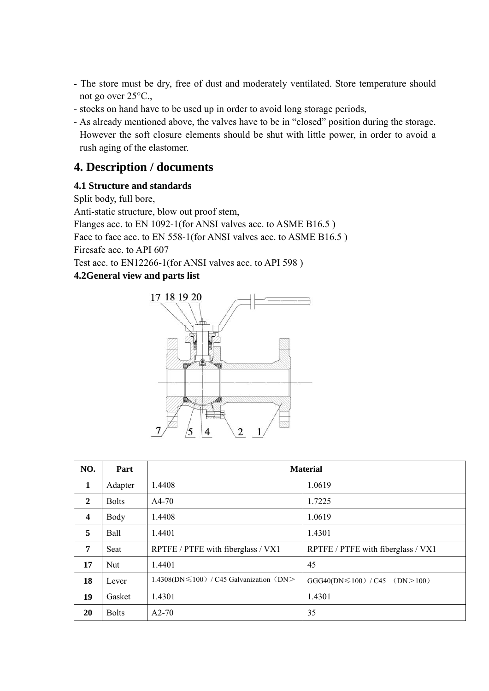- The store must be dry, free of dust and moderately ventilated. Store temperature should not go over 25°C.,
- stocks on hand have to be used up in order to avoid long storage periods,
- As already mentioned above, the valves have to be in "closed" position during the storage. However the soft closure elements should be shut with little power, in order to avoid a rush aging of the elastomer.

## **4. Description / documents**

#### **4.1 Structure and standards**

Split body, full bore, Anti-static structure, blow out proof stem, Flanges acc. to EN 1092-1(for ANSI valves acc. to ASME B16.5 ) Face to face acc. to EN 558-1(for ANSI valves acc. to ASME B16.5) Firesafe acc. to API 607 Test acc. to EN12266-1(for ANSI valves acc. to API 598 ) **4.2General view and parts list** 



| NO.              | Part         | <b>Material</b>                         |                                    |
|------------------|--------------|-----------------------------------------|------------------------------------|
| 1                | Adapter      | 1.4408                                  | 1.0619                             |
| $\mathbf{2}$     | <b>Bolts</b> | $A4-70$                                 | 1.7225                             |
| $\boldsymbol{4}$ | Body         | 1.4408                                  | 1.0619                             |
| 5                | Ball         | 1.4401                                  | 1.4301                             |
| 7                | Seat         | RPTFE / PTFE with fiberglass / VX1      | RPTFE / PTFE with fiberglass / VX1 |
| 17               | <b>Nut</b>   | 1.4401                                  | 45                                 |
| 18               | Lever        | 1.4308(DN≤100) / C45 Galvanization (DN> | $GGG40(DN \le 100) / C45$ (DN>100) |
| 19               | Gasket       | 1.4301                                  | 1.4301                             |
| 20               | <b>Bolts</b> | $A2-70$                                 | 35                                 |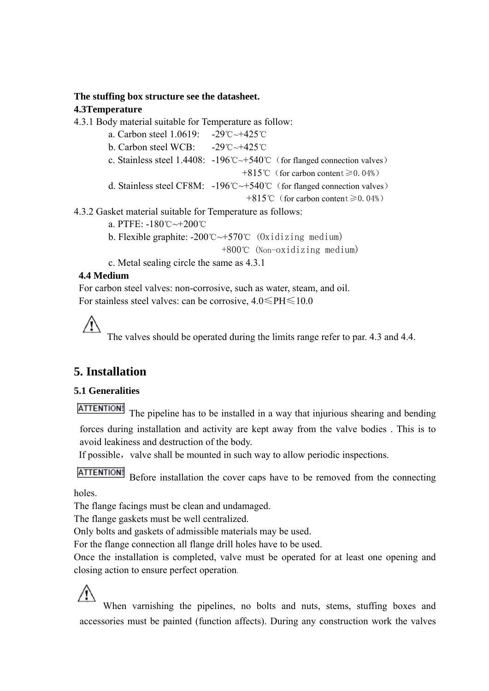#### **The stuffing box structure see the datasheet.**

#### **4.3Temperature**

4.3.1 Body material suitable for Temperature as follow:

 a. Carbon steel 1.0619: -29℃~+425℃ b. Carbon steel WCB:  $-29^{\circ}$ C $\sim$ +425 $^{\circ}$ C c. Stainless steel 1.4408: -196℃~+540℃(for flanged connection valves) +815℃(for carbon content≥0.04%) d. Stainless steel CF8M: -196℃~+540℃(for flanged connection valves) +815℃(for carbon content≥0.04%) 4.3.2 Gasket material suitable for Temperature as follows:

a. PTFE: -180℃~+200℃

 b. Flexible graphite: -200℃~+570℃ (Oxidizing medium) +800℃ (Non-oxidizing medium)

c. Metal sealing circle the same as 4.3.1

#### **4.4 Medium**

 $\sqrt{N}$ 

 For carbon steel valves: non-corrosive, such as water, steam, and oil. For stainless steel valves: can be corrosive,  $4.0 \leq P \leq 10.0$ 

The valves should be operated during the limits range refer to par. 4.3 and 4.4.

## **5. Installation**

#### **5.1 Generalities**

**ATTENTION!** 

The pipeline has to be installed in a way that injurious shearing and bending

forces during installation and activity are kept away from the valve bodies . This is to avoid leakiness and destruction of the body.

If possible, valve shall be mounted in such way to allow periodic inspections.

**ATTENTION!** Before installation the cover caps have to be removed from the connecting

holes.

The flange facings must be clean and undamaged.

The flange gaskets must be well centralized.

Only bolts and gaskets of admissible materials may be used.

For the flange connection all flange drill holes have to be used.

Once the installation is completed, valve must be operated for at least one opening and closing action to ensure perfect operation.

When varnishing the pipelines, no bolts and nuts, stems, stuffing boxes and accessories must be painted (function affects). During any construction work the valves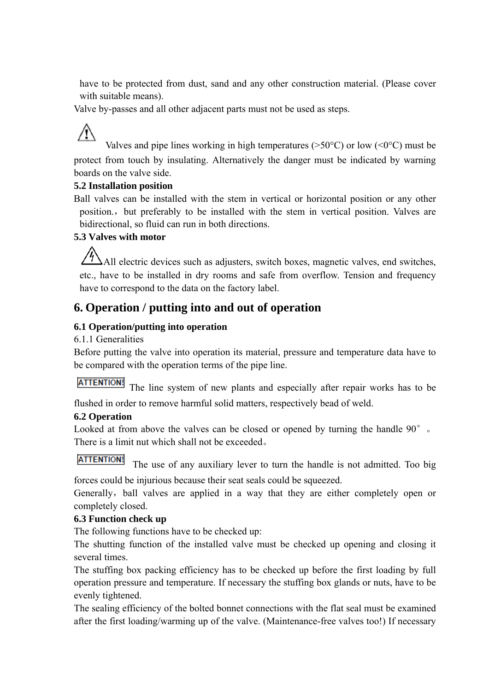have to be protected from dust, sand and any other construction material. (Please cover with suitable means).

Valve by-passes and all other adjacent parts must not be used as steps.

## Valves and pipe lines working in high temperatures ( $>50^{\circ}$ C) or low ( $\leq 0^{\circ}$ C) must be protect from touch by insulating. Alternatively the danger must be indicated by warning boards on the valve side.

#### **5.2 Installation position**

Ball valves can be installed with the stem in vertical or horizontal position or any other position., but preferably to be installed with the stem in vertical position. Valves are bidirectional, so fluid can run in both directions.

#### **5.3 Valves with motor**

 $/$ All electric devices such as adjusters, switch boxes, magnetic valves, end switches, etc., have to be installed in dry rooms and safe from overflow. Tension and frequency have to correspond to the data on the factory label.

## **6. Operation / putting into and out of operation**

#### **6.1 Operation/putting into operation**

#### 6.1.1 Generalities

Before putting the valve into operation its material, pressure and temperature data have to be compared with the operation terms of the pipe line.

ATTENTION! The line system of new plants and especially after repair works has to be

flushed in order to remove harmful solid matters, respectively bead of weld.

#### **6.2 Operation**

Looked at from above the valves can be closed or opened by turning the handle 90°. There is a limit nut which shall not be exceeded。

#### **ATTENTION!**

The use of any auxiliary lever to turn the handle is not admitted. Too big

forces could be injurious because their seat seals could be squeezed.

Generally, ball valves are applied in a way that they are either completely open or completely closed.

#### **6.3 Function check up**

The following functions have to be checked up:

The shutting function of the installed valve must be checked up opening and closing it several times.

The stuffing box packing efficiency has to be checked up before the first loading by full operation pressure and temperature. If necessary the stuffing box glands or nuts, have to be evenly tightened.

The sealing efficiency of the bolted bonnet connections with the flat seal must be examined after the first loading/warming up of the valve. (Maintenance-free valves too!) If necessary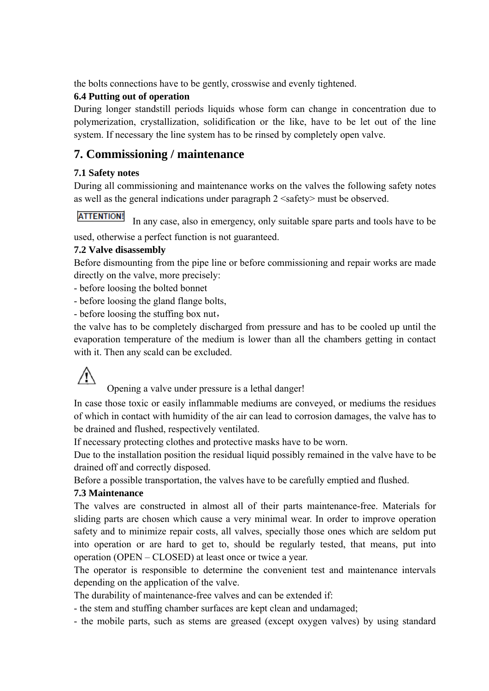the bolts connections have to be gently, crosswise and evenly tightened.

#### **6.4 Putting out of operation**

During longer standstill periods liquids whose form can change in concentration due to polymerization, crystallization, solidification or the like, have to be let out of the line system. If necessary the line system has to be rinsed by completely open valve.

## **7. Commissioning / maintenance**

#### **7.1 Safety notes**

During all commissioning and maintenance works on the valves the following safety notes as well as the general indications under paragraph 2 <safety> must be observed.

#### **ATTENTION!**

In any case, also in emergency, only suitable spare parts and tools have to be

used, otherwise a perfect function is not guaranteed.

#### **7.2 Valve disassembly**

Before dismounting from the pipe line or before commissioning and repair works are made directly on the valve, more precisely:

- before loosing the bolted bonnet

- before loosing the gland flange bolts,

- before loosing the stuffing box nut,

the valve has to be completely discharged from pressure and has to be cooled up until the evaporation temperature of the medium is lower than all the chambers getting in contact with it. Then any scald can be excluded.

 $\sqrt{1}$ 

Opening a valve under pressure is a lethal danger!

In case those toxic or easily inflammable mediums are conveyed, or mediums the residues of which in contact with humidity of the air can lead to corrosion damages, the valve has to be drained and flushed, respectively ventilated.

If necessary protecting clothes and protective masks have to be worn.

Due to the installation position the residual liquid possibly remained in the valve have to be drained off and correctly disposed.

Before a possible transportation, the valves have to be carefully emptied and flushed.

#### **7.3 Maintenance**

The valves are constructed in almost all of their parts maintenance-free. Materials for sliding parts are chosen which cause a very minimal wear. In order to improve operation safety and to minimize repair costs, all valves, specially those ones which are seldom put into operation or are hard to get to, should be regularly tested, that means, put into operation (OPEN – CLOSED) at least once or twice a year.

The operator is responsible to determine the convenient test and maintenance intervals depending on the application of the valve.

The durability of maintenance-free valves and can be extended if:

- the stem and stuffing chamber surfaces are kept clean and undamaged;

- the mobile parts, such as stems are greased (except oxygen valves) by using standard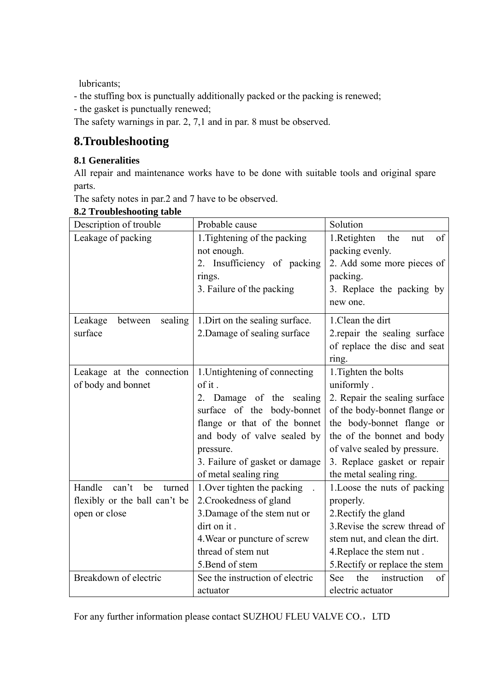lubricants;

- the stuffing box is punctually additionally packed or the packing is renewed;

- the gasket is punctually renewed;

The safety warnings in par. 2, 7,1 and in par. 8 must be observed.

## **8.Troubleshooting**

#### **8.1 Generalities**

All repair and maintenance works have to be done with suitable tools and original spare parts.

The safety notes in par.2 and 7 have to be observed.

| Description of trouble          | Probable cause                  | Solution                        |
|---------------------------------|---------------------------------|---------------------------------|
| Leakage of packing              | 1. Tightening of the packing    | 1.Retighten<br>the<br>of<br>nut |
|                                 | not enough.                     | packing evenly.                 |
|                                 | 2. Insufficiency of packing     | 2. Add some more pieces of      |
|                                 | rings.                          | packing.                        |
|                                 | 3. Failure of the packing       | 3. Replace the packing by       |
|                                 |                                 | new one.                        |
| Leakage<br>sealing<br>between   | 1. Dirt on the sealing surface. | 1. Clean the dirt               |
| surface                         | 2. Damage of sealing surface    | 2. repair the sealing surface   |
|                                 |                                 | of replace the disc and seat    |
|                                 |                                 | ring.                           |
| Leakage at the connection       | 1. Untightening of connecting   | 1. Tighten the bolts            |
| of body and bonnet              | of it.                          | uniformly.                      |
|                                 | 2. Damage of the sealing        | 2. Repair the sealing surface   |
|                                 | surface of the body-bonnet      | of the body-bonnet flange or    |
|                                 | flange or that of the bonnet    | the body-bonnet flange or       |
|                                 | and body of valve sealed by     | the of the bonnet and body      |
|                                 | pressure.                       | of valve sealed by pressure.    |
|                                 | 3. Failure of gasket or damage  | 3. Replace gasket or repair     |
|                                 | of metal sealing ring           | the metal sealing ring.         |
| Handle<br>can't<br>be<br>turned | 1. Over tighten the packing     | 1. Loose the nuts of packing    |
| flexibly or the ball can't be   | 2. Crookedness of gland         | properly.                       |
| open or close                   | 3. Damage of the stem nut or    | 2. Rectify the gland            |
|                                 | dirt on it.                     | 3. Revise the screw thread of   |
|                                 | 4. Wear or puncture of screw    | stem nut, and clean the dirt.   |
|                                 | thread of stem nut              | 4. Replace the stem nut.        |
|                                 | 5. Bend of stem                 | 5. Rectify or replace the stem  |
| Breakdown of electric           | See the instruction of electric | the<br>instruction<br>See<br>of |
|                                 | actuator                        | electric actuator               |

#### **8.2 Troubleshooting table**

For any further information please contact SUZHOU FLEU VALVE CO., LTD